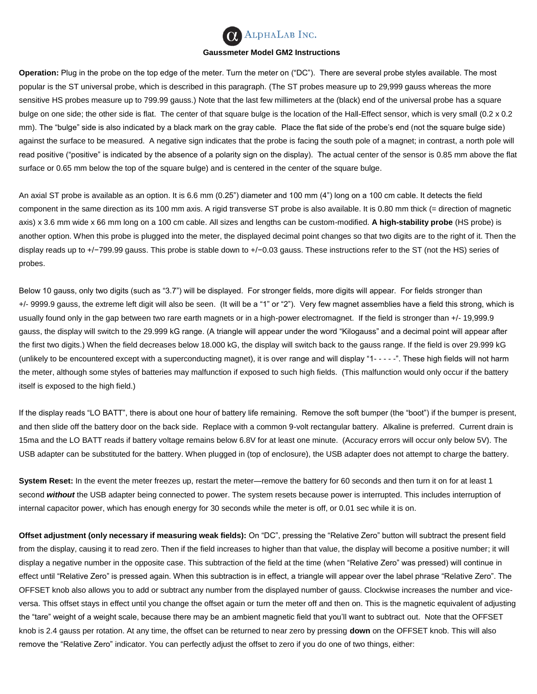

## **Gaussmeter Model GM2 Instructions**

**Operation:** Plug in the probe on the top edge of the meter. Turn the meter on ("DC"). There are several probe styles available. The most popular is the ST universal probe, which is described in this paragraph. (The ST probes measure up to 29,999 gauss whereas the more sensitive HS probes measure up to 799.99 gauss.) Note that the last few millimeters at the (black) end of the universal probe has a square bulge on one side; the other side is flat. The center of that square bulge is the location of the Hall-Effect sensor, which is very small (0.2 x 0.2 mm). The "bulge" side is also indicated by a black mark on the gray cable. Place the flat side of the probe's end (not the square bulge side) against the surface to be measured. A negative sign indicates that the probe is facing the south pole of a magnet; in contrast, a north pole will read positive ("positive" is indicated by the absence of a polarity sign on the display). The actual center of the sensor is 0.85 mm above the flat surface or 0.65 mm below the top of the square bulge) and is centered in the center of the square bulge.

An axial ST probe is available as an option. It is 6.6 mm (0.25") diameter and 100 mm (4") long on a 100 cm cable. It detects the field component in the same direction as its 100 mm axis. A rigid transverse ST probe is also available. It is 0.80 mm thick (= direction of magnetic axis) x 3.6 mm wide x 66 mm long on a 100 cm cable. All sizes and lengths can be custom-modified. **A high-stability probe** (HS probe) is another option. When this probe is plugged into the meter, the displayed decimal point changes so that two digits are to the right of it. Then the display reads up to +/−799.99 gauss. This probe is stable down to +/−0.03 gauss. These instructions refer to the ST (not the HS) series of probes.

Below 10 gauss, only two digits (such as "3.7") will be displayed. For stronger fields, more digits will appear. For fields stronger than +/- 9999.9 gauss, the extreme left digit will also be seen. (It will be a "1" or "2"). Very few magnet assemblies have a field this strong, which is usually found only in the gap between two rare earth magnets or in a high-power electromagnet. If the field is stronger than +/- 19,999.9 gauss, the display will switch to the 29.999 kG range. (A triangle will appear under the word "Kilogauss" and a decimal point will appear after the first two digits.) When the field decreases below 18.000 kG, the display will switch back to the gauss range. If the field is over 29.999 kG (unlikely to be encountered except with a superconducting magnet), it is over range and will display "1- - - - -". These high fields will not harm the meter, although some styles of batteries may malfunction if exposed to such high fields. (This malfunction would only occur if the battery itself is exposed to the high field.)

If the display reads "LO BATT", there is about one hour of battery life remaining. Remove the soft bumper (the "boot") if the bumper is present, and then slide off the battery door on the back side. Replace with a common 9-volt rectangular battery. Alkaline is preferred. Current drain is 15ma and the LO BATT reads if battery voltage remains below 6.8V for at least one minute. (Accuracy errors will occur only below 5V). The USB adapter can be substituted for the battery. When plugged in (top of enclosure), the USB adapter does not attempt to charge the battery.

**System Reset:** In the event the meter freezes up, restart the meter—remove the battery for 60 seconds and then turn it on for at least 1 second *without* the USB adapter being connected to power. The system resets because power is interrupted. This includes interruption of internal capacitor power, which has enough energy for 30 seconds while the meter is off, or 0.01 sec while it is on.

**Offset adjustment (only necessary if measuring weak fields):** On "DC", pressing the "Relative Zero" button will subtract the present field from the display, causing it to read zero. Then if the field increases to higher than that value, the display will become a positive number; it will display a negative number in the opposite case. This subtraction of the field at the time (when "Relative Zero" was pressed) will continue in effect until "Relative Zero" is pressed again. When this subtraction is in effect, a triangle will appear over the label phrase "Relative Zero". The OFFSET knob also allows you to add or subtract any number from the displayed number of gauss. Clockwise increases the number and viceversa. This offset stays in effect until you change the offset again or turn the meter off and then on. This is the magnetic equivalent of adjusting the "tare" weight of a weight scale, because there may be an ambient magnetic field that you'll want to subtract out. Note that the OFFSET knob is 2.4 gauss per rotation. At any time, the offset can be returned to near zero by pressing **down** on the OFFSET knob. This will also remove the "Relative Zero" indicator. You can perfectly adjust the offset to zero if you do one of two things, either: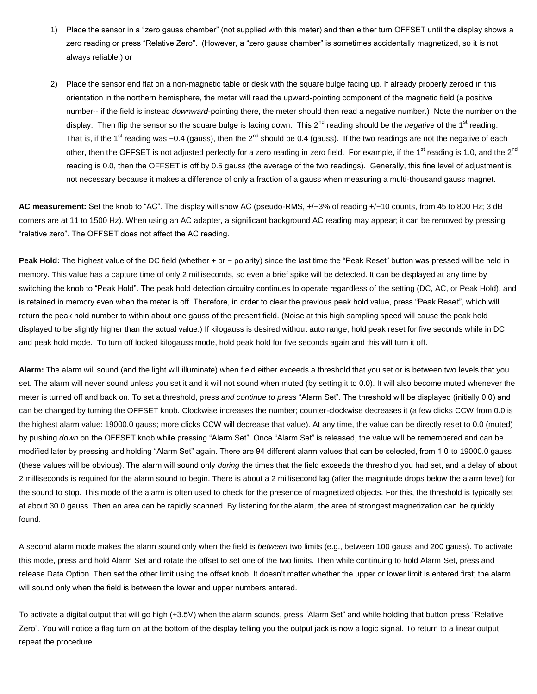- 1) Place the sensor in a "zero gauss chamber" (not supplied with this meter) and then either turn OFFSET until the display shows a zero reading or press "Relative Zero". (However, a "zero gauss chamber" is sometimes accidentally magnetized, so it is not always reliable.) or
- 2) Place the sensor end flat on a non-magnetic table or desk with the square bulge facing up. If already properly zeroed in this orientation in the northern hemisphere, the meter will read the upward-pointing component of the magnetic field (a positive number-- if the field is instead *downward*-pointing there, the meter should then read a negative number.) Note the number on the display. Then flip the sensor so the square bulge is facing down. This 2<sup>nd</sup> reading should be the *negative* of the 1<sup>st</sup> reading. That is, if the 1<sup>st</sup> reading was −0.4 (gauss), then the 2<sup>nd</sup> should be 0.4 (gauss). If the two readings are not the negative of each other, then the OFFSET is not adjusted perfectly for a zero reading in zero field. For example, if the 1<sup>st</sup> reading is 1.0, and the 2<sup>nd</sup> reading is 0.0, then the OFFSET is off by 0.5 gauss (the average of the two readings). Generally, this fine level of adjustment is not necessary because it makes a difference of only a fraction of a gauss when measuring a multi-thousand gauss magnet.

**AC measurement:** Set the knob to "AC". The display will show AC (pseudo-RMS, +/−3% of reading +/−10 counts, from 45 to 800 Hz; 3 dB corners are at 11 to 1500 Hz). When using an AC adapter, a significant background AC reading may appear; it can be removed by pressing "relative zero". The OFFSET does not affect the AC reading.

**Peak Hold:** The highest value of the DC field (whether + or − polarity) since the last time the "Peak Reset" button was pressed will be held in memory. This value has a capture time of only 2 milliseconds, so even a brief spike will be detected. It can be displayed at any time by switching the knob to "Peak Hold". The peak hold detection circuitry continues to operate regardless of the setting (DC, AC, or Peak Hold), and is retained in memory even when the meter is off. Therefore, in order to clear the previous peak hold value, press "Peak Reset", which will return the peak hold number to within about one gauss of the present field. (Noise at this high sampling speed will cause the peak hold displayed to be slightly higher than the actual value.) If kilogauss is desired without auto range, hold peak reset for five seconds while in DC and peak hold mode. To turn off locked kilogauss mode, hold peak hold for five seconds again and this will turn it off.

**Alarm:** The alarm will sound (and the light will illuminate) when field either exceeds a threshold that you set or is between two levels that you set. The alarm will never sound unless you set it and it will not sound when muted (by setting it to 0.0). It will also become muted whenever the meter is turned off and back on. To set a threshold, press *and continue to press* "Alarm Set". The threshold will be displayed (initially 0.0) and can be changed by turning the OFFSET knob. Clockwise increases the number; counter-clockwise decreases it (a few clicks CCW from 0.0 is the highest alarm value: 19000.0 gauss; more clicks CCW will decrease that value). At any time, the value can be directly reset to 0.0 (muted) by pushing *down* on the OFFSET knob while pressing "Alarm Set". Once "Alarm Set" is released, the value will be remembered and can be modified later by pressing and holding "Alarm Set" again. There are 94 different alarm values that can be selected, from 1.0 to 19000.0 gauss (these values will be obvious). The alarm will sound only *during* the times that the field exceeds the threshold you had set, and a delay of about 2 milliseconds is required for the alarm sound to begin. There is about a 2 millisecond lag (after the magnitude drops below the alarm level) for the sound to stop. This mode of the alarm is often used to check for the presence of magnetized objects. For this, the threshold is typically set at about 30.0 gauss. Then an area can be rapidly scanned. By listening for the alarm, the area of strongest magnetization can be quickly found.

A second alarm mode makes the alarm sound only when the field is *between* two limits (e.g., between 100 gauss and 200 gauss). To activate this mode, press and hold Alarm Set and rotate the offset to set one of the two limits. Then while continuing to hold Alarm Set, press and release Data Option. Then set the other limit using the offset knob. It doesn't matter whether the upper or lower limit is entered first; the alarm will sound only when the field is between the lower and upper numbers entered.

To activate a digital output that will go high (+3.5V) when the alarm sounds, press "Alarm Set" and while holding that button press "Relative Zero". You will notice a flag turn on at the bottom of the display telling you the output jack is now a logic signal. To return to a linear output, repeat the procedure.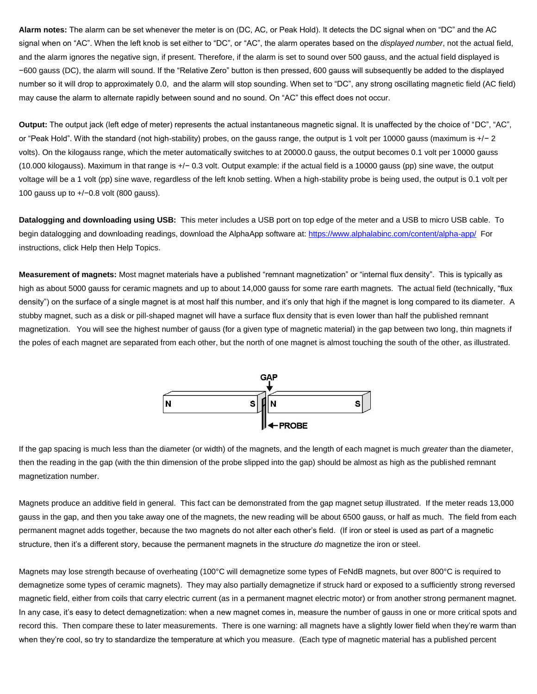**Alarm notes:** The alarm can be set whenever the meter is on (DC, AC, or Peak Hold). It detects the DC signal when on "DC" and the AC signal when on "AC". When the left knob is set either to "DC", or "AC", the alarm operates based on the *displayed number*, not the actual field, and the alarm ignores the negative sign, if present. Therefore, if the alarm is set to sound over 500 gauss, and the actual field displayed is −600 gauss (DC), the alarm will sound. If the "Relative Zero" button is then pressed, 600 gauss will subsequently be added to the displayed number so it will drop to approximately 0.0, and the alarm will stop sounding. When set to "DC", any strong oscillating magnetic field (AC field) may cause the alarm to alternate rapidly between sound and no sound. On "AC" this effect does not occur.

**Output:** The output jack (left edge of meter) represents the actual instantaneous magnetic signal. It is unaffected by the choice of "DC", "AC", or "Peak Hold". With the standard (not high-stability) probes, on the gauss range, the output is 1 volt per 10000 gauss (maximum is +/− 2 volts). On the kilogauss range, which the meter automatically switches to at 20000.0 gauss, the output becomes 0.1 volt per 10000 gauss (10.000 kilogauss). Maximum in that range is +/− 0.3 volt. Output example: if the actual field is a 10000 gauss (pp) sine wave, the output voltage will be a 1 volt (pp) sine wave, regardless of the left knob setting. When a high-stability probe is being used, the output is 0.1 volt per 100 gauss up to +/−0.8 volt (800 gauss).

**Datalogging and downloading using USB:** This meter includes a USB port on top edge of the meter and a USB to micro USB cable. To begin datalogging and downloading readings, download the AlphaApp software at:<https://www.alphalabinc.com/content/alpha-app/>For instructions, click Help then Help Topics.

**Measurement of magnets:** Most magnet materials have a published "remnant magnetization" or "internal flux density". This is typically as high as about 5000 gauss for ceramic magnets and up to about 14,000 gauss for some rare earth magnets. The actual field (technically, "flux density") on the surface of a single magnet is at most half this number, and it's only that high if the magnet is long compared to its diameter. A stubby magnet, such as a disk or pill-shaped magnet will have a surface flux density that is even lower than half the published remnant magnetization. You will see the highest number of gauss (for a given type of magnetic material) in the gap between two long, thin magnets if the poles of each magnet are separated from each other, but the north of one magnet is almost touching the south of the other, as illustrated.



If the gap spacing is much less than the diameter (or width) of the magnets, and the length of each magnet is much *greater* than the diameter, then the reading in the gap (with the thin dimension of the probe slipped into the gap) should be almost as high as the published remnant magnetization number.

Magnets produce an additive field in general. This fact can be demonstrated from the gap magnet setup illustrated. If the meter reads 13,000 gauss in the gap, and then you take away one of the magnets, the new reading will be about 6500 gauss, or half as much. The field from each permanent magnet adds together, because the two magnets do not alter each other's field. (If iron or steel is used as part of a magnetic structure, then it's a different story, because the permanent magnets in the structure *do* magnetize the iron or steel.

Magnets may lose strength because of overheating (100°C will demagnetize some types of FeNdB magnets, but over 800°C is required to demagnetize some types of ceramic magnets). They may also partially demagnetize if struck hard or exposed to a sufficiently strong reversed magnetic field, either from coils that carry electric current (as in a permanent magnet electric motor) or from another strong permanent magnet. In any case, it's easy to detect demagnetization: when a new magnet comes in, measure the number of gauss in one or more critical spots and record this. Then compare these to later measurements. There is one warning: all magnets have a slightly lower field when they're warm than when they're cool, so try to standardize the temperature at which you measure. (Each type of magnetic material has a published percent